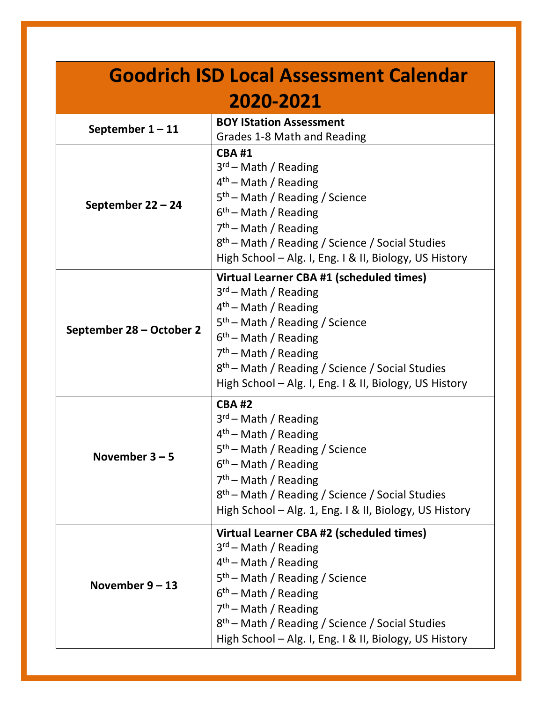| <b>Goodrich ISD Local Assessment Calendar</b> |                                                                                                                                                                                                                                                                                                                                             |
|-----------------------------------------------|---------------------------------------------------------------------------------------------------------------------------------------------------------------------------------------------------------------------------------------------------------------------------------------------------------------------------------------------|
| 2020-2021                                     |                                                                                                                                                                                                                                                                                                                                             |
| September $1 - 11$                            | <b>BOY IStation Assessment</b><br>Grades 1-8 Math and Reading                                                                                                                                                                                                                                                                               |
| September 22 - 24                             | <b>CBA#1</b><br>$3rd$ – Math / Reading<br>$4th$ – Math / Reading<br>$5th$ – Math / Reading / Science<br>$6th$ – Math / Reading<br>$7th$ – Math / Reading<br>8 <sup>th</sup> – Math / Reading / Science / Social Studies<br>High School – Alg. I, Eng. I & II, Biology, US History                                                           |
| September 28 - October 2                      | Virtual Learner CBA #1 (scheduled times)<br>$3rd$ – Math / Reading<br>4 <sup>th</sup> - Math / Reading<br>5 <sup>th</sup> – Math / Reading / Science<br>6 <sup>th</sup> - Math / Reading<br>$7th$ – Math / Reading<br>8 <sup>th</sup> – Math / Reading / Science / Social Studies<br>High School - Alg. I, Eng. I & II, Biology, US History |
| November $3 - 5$                              | <b>CBA#2</b><br>$3rd$ – Math / Reading<br>$4th$ – Math / Reading<br>5 <sup>th</sup> - Math / Reading / Science<br>$6th$ – Math / Reading<br>$7th$ – Math / Reading<br>8 <sup>th</sup> - Math / Reading / Science / Social Studies<br>High School - Alg. 1, Eng. I & II, Biology, US History                                                 |
| November $9 - 13$                             | Virtual Learner CBA #2 (scheduled times)<br>$3rd$ – Math / Reading<br>4 <sup>th</sup> – Math / Reading<br>$5th$ – Math / Reading / Science<br>$6th$ – Math / Reading<br>7 <sup>th</sup> – Math / Reading<br>8 <sup>th</sup> – Math / Reading / Science / Social Studies<br>High School - Alg. I, Eng. I & II, Biology, US History           |